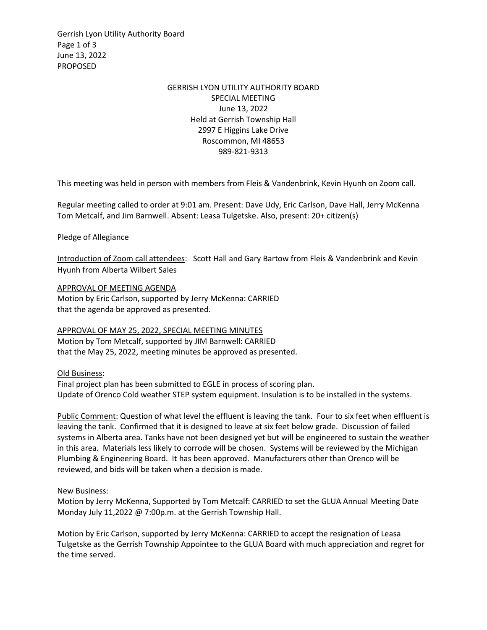Gerrish Lyon Utility Authority Board Page 1 of 3 June 13, 2022 PROPOSED

## GERRISH LYON UTILITY AUTHORITY BOARD SPECIAL MEETING June 13, 2022 Held at Gerrish Township Hall 2997 E Higgins Lake Drive Roscommon, MI 48653 989-821-9313

This meeting was held in person with members from Fleis & Vandenbrink, Kevin Hyunh on Zoom call.

Regular meeting called to order at 9:01 am. Present: Dave Udy, Eric Carlson, Dave Hall, Jerry McKenna Tom Metcalf, and Jim Barnwell. Absent: Leasa Tulgetske. Also, present: 20+ citizen(s)

Pledge of Allegiance

Introduction of Zoom call attendees: Scott Hall and Gary Bartow from Fleis & Vandenbrink and Kevin Hyunh from Alberta Wilbert Sales

APPROVAL OF MEETING AGENDA Motion by Eric Carlson, supported by Jerry McKenna: CARRIED that the agenda be approved as presented.

APPROVAL OF MAY 25, 2022, SPECIAL MEETING MINUTES Motion by Tom Metcalf, supported by JIM Barnwell: CARRIED that the May 25, 2022, meeting minutes be approved as presented.

Old Business:

Final project plan has been submitted to EGLE in process of scoring plan. Update of Orenco Cold weather STEP system equipment. Insulation is to be installed in the systems.

Public Comment: Question of what level the effluent is leaving the tank. Four to six feet when effluent is leaving the tank. Confirmed that it is designed to leave at six feet below grade. Discussion of failed systems in Alberta area. Tanks have not been designed yet but will be engineered to sustain the weather in this area. Materials less likely to corrode will be chosen. Systems will be reviewed by the Michigan Plumbing & Engineering Board. It has been approved. Manufacturers other than Orenco will be reviewed, and bids will be taken when a decision is made.

New Business:

Motion by Jerry McKenna, Supported by Tom Metcalf: CARRIED to set the GLUA Annual Meeting Date Monday July 11,2022 @ 7:00p.m. at the Gerrish Township Hall.

Motion by Eric Carlson, supported by Jerry McKenna: CARRIED to accept the resignation of Leasa Tulgetske as the Gerrish Township Appointee to the GLUA Board with much appreciation and regret for the time served.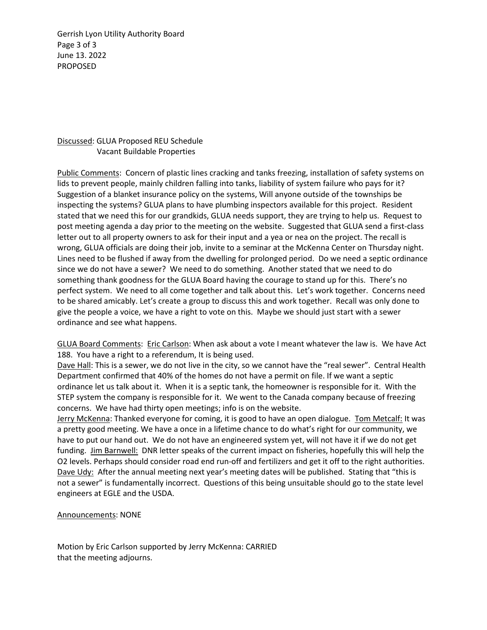Gerrish Lyon Utility Authority Board Page 3 of 3 June 13. 2022 PROPOSED

## Discussed: GLUA Proposed REU Schedule Vacant Buildable Properties

Public Comments: Concern of plastic lines cracking and tanks freezing, installation of safety systems on lids to prevent people, mainly children falling into tanks, liability of system failure who pays for it? Suggestion of a blanket insurance policy on the systems, Will anyone outside of the townships be inspecting the systems? GLUA plans to have plumbing inspectors available for this project. Resident stated that we need this for our grandkids, GLUA needs support, they are trying to help us. Request to post meeting agenda a day prior to the meeting on the website. Suggested that GLUA send a first-class letter out to all property owners to ask for their input and a yea or nea on the project. The recall is wrong, GLUA officials are doing their job, invite to a seminar at the McKenna Center on Thursday night. Lines need to be flushed if away from the dwelling for prolonged period. Do we need a septic ordinance since we do not have a sewer? We need to do something. Another stated that we need to do something thank goodness for the GLUA Board having the courage to stand up for this. There's no perfect system. We need to all come together and talk about this. Let's work together. Concerns need to be shared amicably. Let's create a group to discuss this and work together. Recall was only done to give the people a voice, we have a right to vote on this. Maybe we should just start with a sewer ordinance and see what happens.

GLUA Board Comments: Eric Carlson: When ask about a vote I meant whatever the law is. We have Act 188. You have a right to a referendum, It is being used.

Dave Hall: This is a sewer, we do not live in the city, so we cannot have the "real sewer". Central Health Department confirmed that 40% of the homes do not have a permit on file. If we want a septic ordinance let us talk about it. When it is a septic tank, the homeowner is responsible for it. With the STEP system the company is responsible for it. We went to the Canada company because of freezing concerns. We have had thirty open meetings; info is on the website.

Jerry McKenna: Thanked everyone for coming, it is good to have an open dialogue. Tom Metcalf: It was a pretty good meeting. We have a once in a lifetime chance to do what's right for our community, we have to put our hand out. We do not have an engineered system yet, will not have it if we do not get funding. Jim Barnwell: DNR letter speaks of the current impact on fisheries, hopefully this will help the O2 levels. Perhaps should consider road end run-off and fertilizers and get it off to the right authorities. Dave Udy: After the annual meeting next year's meeting dates will be published. Stating that "this is not a sewer" is fundamentally incorrect. Questions of this being unsuitable should go to the state level engineers at EGLE and the USDA.

## Announcements: NONE

Motion by Eric Carlson supported by Jerry McKenna: CARRIED that the meeting adjourns.